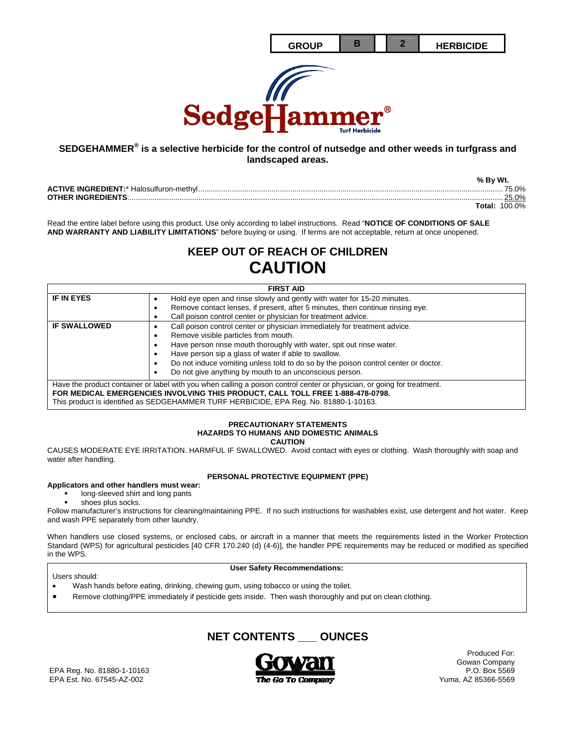

# **SEDGEHAMMER® is a selective herbicide for the control of nutsedge and other weeds in turfgrass and landscaped areas.**

|                           | % By Wt.             |
|---------------------------|----------------------|
|                           | 75.0%                |
| <b>OTHER INGREDIENTS:</b> | 25.0%                |
|                           | <b>Total: 100.0%</b> |

Read the entire label before using this product. Use only according to label instructions. Read "**NOTICE OF CONDITIONS OF SALE AND WARRANTY AND LIABILITY LIMITATIONS**" before buying or using. If terms are not acceptable, return at once unopened.

# **KEEP OUT OF REACH OF CHILDREN CAUTION**

| <b>FIRST AID</b>                                                                                                        |                                                                                     |  |
|-------------------------------------------------------------------------------------------------------------------------|-------------------------------------------------------------------------------------|--|
| <b>IF IN EYES</b>                                                                                                       | Hold eye open and rinse slowly and gently with water for 15-20 minutes.             |  |
|                                                                                                                         | Remove contact lenses, if present, after 5 minutes, then continue rinsing eye.<br>٠ |  |
|                                                                                                                         | Call poison control center or physician for treatment advice.                       |  |
| <b>IF SWALLOWED</b>                                                                                                     | Call poison control center or physician immediately for treatment advice.           |  |
|                                                                                                                         | Remove visible particles from mouth.                                                |  |
|                                                                                                                         | Have person rinse mouth thoroughly with water, spit out rinse water.                |  |
|                                                                                                                         | Have person sip a glass of water if able to swallow.                                |  |
|                                                                                                                         | Do not induce vomiting unless told to do so by the poison control center or doctor. |  |
|                                                                                                                         | Do not give anything by mouth to an unconscious person.                             |  |
| Have the product container or label with you when calling a poison control center or physician, or going for treatment. |                                                                                     |  |
| FOR MEDICAL EMERGENCIES INVOLVING THIS PRODUCT, CALL TOLL FREE 1-888-478-0798.                                          |                                                                                     |  |
| This product is identified as SEDGEHAMMER TURF HERBICIDE, EPA Reg. No. 81880-1-10163.                                   |                                                                                     |  |

#### **PRECAUTIONARY STATEMENTS HAZARDS TO HUMANS AND DOMESTIC ANIMALS CAUTION**

CAUSES MODERATE EYE IRRITATION. HARMFUL IF SWALLOWED. Avoid contact with eyes or clothing. Wash thoroughly with soap and water after handling.

# **PERSONAL PROTECTIVE EQUIPMENT (PPE)**

# **Applicators and other handlers must wear:**

- long-sleeved shirt and long pants
- shoes plus socks.

Follow manufacturer's instructions for cleaning/maintaining PPE. If no such instructions for washables exist, use detergent and hot water. Keep and wash PPE separately from other laundry.

When handlers use closed systems, or enclosed cabs, or aircraft in a manner that meets the requirements listed in the Worker Protection Standard (WPS) for agricultural pesticides [40 CFR 170.240 (d) (4-6)], the handler PPE requirements may be reduced or modified as specified in the WPS.

#### **User Safety Recommendations:**

- Wash hands before eating, drinking, chewing gum, using tobacco or using the toilet.
- Remove clothing/PPE immediately if pesticide gets inside. Then wash thoroughly and put on clean clothing.

**NET CONTENTS \_\_\_ OUNCES** 



Produced For: Gowan Company<br>P.O. Box 5569

EPA Reg. No. 81880-1-10163 EPA Est. No. 67545-AZ-002  $\overline{The Go To Company}$   $\overline{The Group }$  Yuma, AZ 85366-5569

Users should: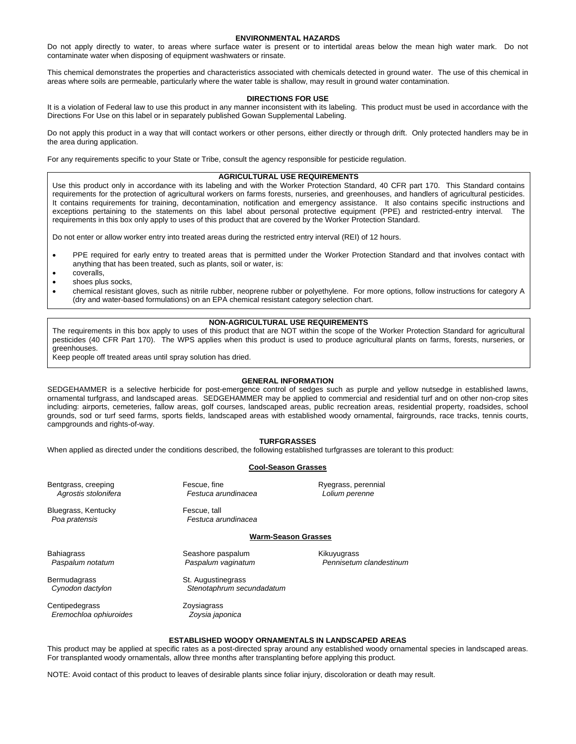#### **ENVIRONMENTAL HAZARDS**

Do not apply directly to water, to areas where surface water is present or to intertidal areas below the mean high water mark. Do not contaminate water when disposing of equipment washwaters or rinsate.

This chemical demonstrates the properties and characteristics associated with chemicals detected in ground water. The use of this chemical in areas where soils are permeable, particularly where the water table is shallow, may result in ground water contamination.

#### **DIRECTIONS FOR USE**

It is a violation of Federal law to use this product in any manner inconsistent with its labeling. This product must be used in accordance with the Directions For Use on this label or in separately published Gowan Supplemental Labeling.

Do not apply this product in a way that will contact workers or other persons, either directly or through drift. Only protected handlers may be in the area during application.

For any requirements specific to your State or Tribe, consult the agency responsible for pesticide regulation.

#### **AGRICULTURAL USE REQUIREMENTS**

Use this product only in accordance with its labeling and with the Worker Protection Standard, 40 CFR part 170. This Standard contains requirements for the protection of agricultural workers on farms forests, nurseries, and greenhouses, and handlers of agricultural pesticides. It contains requirements for training, decontamination, notification and emergency assistance. It also contains specific instructions and exceptions pertaining to the statements on this label about personal protective equipment (PPE) and restricted-entry interval. The requirements in this box only apply to uses of this product that are covered by the Worker Protection Standard.

Do not enter or allow worker entry into treated areas during the restricted entry interval (REI) of 12 hours.

- PPE required for early entry to treated areas that is permitted under the Worker Protection Standard and that involves contact with anything that has been treated, such as plants, soil or water, is:
- coveralls,
- shoes plus socks,
- chemical resistant gloves, such as nitrile rubber, neoprene rubber or polyethylene. For more options, follow instructions for category A (dry and water-based formulations) on an EPA chemical resistant category selection chart.

#### **NON-AGRICULTURAL USE REQUIREMENTS**

The requirements in this box apply to uses of this product that are NOT within the scope of the Worker Protection Standard for agricultural pesticides (40 CFR Part 170). The WPS applies when this product is used to produce agricultural plants on farms, forests, nurseries, or greenhouses.

Keep people off treated areas until spray solution has dried.

#### **GENERAL INFORMATION**

SEDGEHAMMER is a selective herbicide for post-emergence control of sedges such as purple and yellow nutsedge in established lawns, ornamental turfgrass, and landscaped areas. SEDGEHAMMER may be applied to commercial and residential turf and on other non-crop sites including: airports, cemeteries, fallow areas, golf courses, landscaped areas, public recreation areas, residential property, roadsides, school grounds, sod or turf seed farms, sports fields, landscaped areas with established woody ornamental, fairgrounds, race tracks, tennis courts, campgrounds and rights-of-way.

#### **TURFGRASSES**

When applied as directed under the conditions described, the following established turfgrasses are tolerant to this product:

#### **Cool-Season Grasses**

Bentgrass, creeping Fescue, fine Ryegrass, perennial  *Agrostis stolonifera Festuca arundinacea Lolium perenne* 

Bluegrass, Kentucky **Fescue**, tall

 *Poa pratensis Festuca arundinacea* 

#### **Warm-Season Grasses**

Bahiagrass **Seashore paspalum** Seashore paspalum Kikuyugrass

Bermudagrass St. Augustinegrass

Centipedegrass **Zoysiagrass**  *Eremochloa ophiuroides Zoysia japonica* 

 *Paspalum notatum Paspalum vaginatum Pennisetum clandestinum* 

 *Cynodon dactylon Stenotaphrum secundadatum* 

#### **ESTABLISHED WOODY ORNAMENTALS IN LANDSCAPED AREAS**

This product may be applied at specific rates as a post-directed spray around any established woody ornamental species in landscaped areas. For transplanted woody ornamentals, allow three months after transplanting before applying this product.

NOTE: Avoid contact of this product to leaves of desirable plants since foliar injury, discoloration or death may result.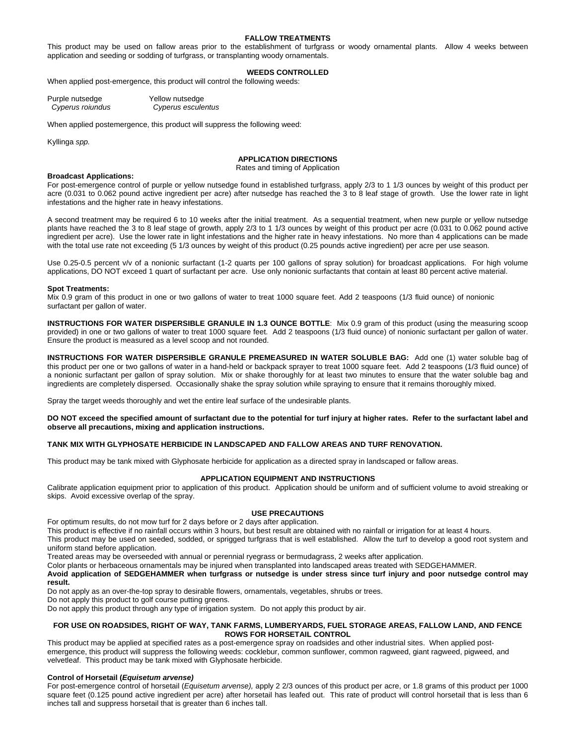#### **FALLOW TREATMENTS**

This product may be used on fallow areas prior to the establishment of turfgrass or woody ornamental plants. Allow 4 weeks between application and seeding or sodding of turfgrass, or transplanting woody ornamentals.

### **WEEDS CONTROLLED**

When applied post-emergence, this product will control the following weeds:

| Purple nutsedge  | Yellow nutsedge    |
|------------------|--------------------|
| Cyperus roiundus | Cyperus esculentus |

When applied postemergence, this product will suppress the following weed:

Kyllinga *spp.*

# **APPLICATION DIRECTIONS**

Rates and timing of Application

#### **Broadcast Applications:**

For post-emergence control of purple or yellow nutsedge found in established turfgrass, apply 2/3 to 1 1/3 ounces by weight of this product per acre (0.031 to 0.062 pound active ingredient per acre) after nutsedge has reached the 3 to 8 leaf stage of growth. Use the lower rate in light infestations and the higher rate in heavy infestations.

A second treatment may be required 6 to 10 weeks after the initial treatment. As a sequential treatment, when new purple or yellow nutsedge plants have reached the 3 to 8 leaf stage of growth, apply 2/3 to 1 1/3 ounces by weight of this product per acre (0.031 to 0.062 pound active ingredient per acre). Use the lower rate in light infestations and the higher rate in heavy infestations. No more than 4 applications can be made with the total use rate not exceeding (5 1/3 ounces by weight of this product (0.25 pounds active ingredient) per acre per use season.

Use 0.25-0.5 percent v/v of a nonionic surfactant (1-2 quarts per 100 gallons of spray solution) for broadcast applications. For high volume applications, DO NOT exceed 1 quart of surfactant per acre. Use only nonionic surfactants that contain at least 80 percent active material.

#### **Spot Treatments:**

Mix 0.9 gram of this product in one or two gallons of water to treat 1000 square feet. Add 2 teaspoons (1/3 fluid ounce) of nonionic surfactant per gallon of water.

**INSTRUCTIONS FOR WATER DISPERSIBLE GRANULE IN 1.3 OUNCE BOTTLE**: Mix 0.9 gram of this product (using the measuring scoop provided) in one or two gallons of water to treat 1000 square feet. Add 2 teaspoons (1/3 fluid ounce) of nonionic surfactant per gallon of water. Ensure the product is measured as a level scoop and not rounded.

**INSTRUCTIONS FOR WATER DISPERSIBLE GRANULE PREMEASURED IN WATER SOLUBLE BAG:** Add one (1) water soluble bag of this product per one or two gallons of water in a hand-held or backpack sprayer to treat 1000 square feet. Add 2 teaspoons (1/3 fluid ounce) of a nonionic surfactant per gallon of spray solution. Mix or shake thoroughly for at least two minutes to ensure that the water soluble bag and ingredients are completely dispersed. Occasionally shake the spray solution while spraying to ensure that it remains thoroughly mixed.

Spray the target weeds thoroughly and wet the entire leaf surface of the undesirable plants.

**DO NOT exceed the specified amount of surfactant due to the potential for turf injury at higher rates. Refer to the surfactant label and observe all precautions, mixing and application instructions.** 

### **TANK MIX WITH GLYPHOSATE HERBICIDE IN LANDSCAPED AND FALLOW AREAS AND TURF RENOVATION.**

This product may be tank mixed with Glyphosate herbicide for application as a directed spray in landscaped or fallow areas.

#### **APPLICATION EQUIPMENT AND INSTRUCTIONS**

Calibrate application equipment prior to application of this product. Application should be uniform and of sufficient volume to avoid streaking or skips. Avoid excessive overlap of the spray.

# **USE PRECAUTIONS**

For optimum results, do not mow turf for 2 days before or 2 days after application.

This product is effective if no rainfall occurs within 3 hours, but best result are obtained with no rainfall or irrigation for at least 4 hours.

This product may be used on seeded, sodded, or sprigged turfgrass that is well established. Allow the turf to develop a good root system and uniform stand before application.

Treated areas may be overseeded with annual or perennial ryegrass or bermudagrass, 2 weeks after application.

Color plants or herbaceous ornamentals may be injured when transplanted into landscaped areas treated with SEDGEHAMMER.

**Avoid application of SEDGEHAMMER when turfgrass or nutsedge is under stress since turf injury and poor nutsedge control may result.** 

Do not apply as an over-the-top spray to desirable flowers, ornamentals, vegetables, shrubs or trees.

Do not apply this product to golf course putting greens.

Do not apply this product through any type of irrigation system. Do not apply this product by air.

#### **FOR USE ON ROADSIDES, RIGHT OF WAY, TANK FARMS, LUMBERYARDS, FUEL STORAGE AREAS, FALLOW LAND, AND FENCE ROWS FOR HORSETAIL CONTROL**

This product may be applied at specified rates as a post-emergence spray on roadsides and other industrial sites. When applied postemergence, this product will suppress the following weeds: cocklebur, common sunflower, common ragweed, giant ragweed, pigweed, and velvetleaf. This product may be tank mixed with Glyphosate herbicide.

#### **Control of Horsetail (***Equisetum arvense)*

For post-emergence control of horsetail (*Equisetum arvense),* apply 2 2/3 ounces of this product per acre, or 1.8 grams of this product per 1000 square feet (0.125 pound active ingredient per acre) after horsetail has leafed out. This rate of product will control horsetail that is less than 6 inches tall and suppress horsetail that is greater than 6 inches tall.